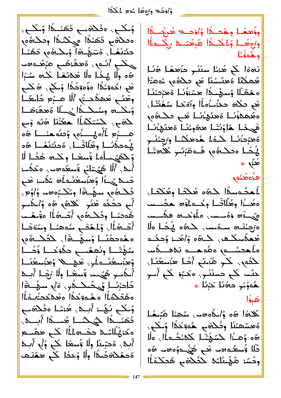وَأَوْحُدْ وِرُوهُا مُومِ الْمَكْرَا

وُكُل، ەڤَلاۋىپ كَتْعُنْـدُا وُكُلى. وهُكُمْ أَمْتُكُمْ مَاتَمَنُوا مِنْكُمْ وَهُكُمْ وَهُمْكُمْ مِنْ حنّنُعُـا فَتَوُـــــوْاً وُحــدُوه تَـمَّــا مەم ئۇنى ھەر ئەن بوڭ كەن بىش هُه وِلَا لِمُحْلِ هِلَّا شَهْتُهَا كُنْ مَعْزَل هْمِ الْدَوْنُكُمْ وَوُوَوْخُكُمْ وُحَكٍّ. هُكْب وقتي قعكمية ألا عؤم كُلْعَا وَكَـــٰهِ وِمُكِــٰكُمُ ﴾ لَـــا الصَّحَافِــا لِحْوْمٍ. لِمُتَنَكَّدُاْ هِعَنْنَا هُنَّهُ وَج ه أَأْهِلِ فَيْ مِنْهَمْ وَحَسَّمَ اللَّهُ مِنْهِ مِنْ مَنْ مَنْ مَنْ مِنْ مِنْ هُءحكُنُــا وِهَٰلَاتْـــا. هَحنّننُعُــا هَء وَحْكَمَهُ الْمَامَ وَمُعَصَّلٍ وَحْدِهِ ۖ هُمُعًا لَّا أَمِدْ. أَلَّا هَيُمْتَابُ وَّسْعَدُهُ . هَكَذَّسَـ: تَسِيمَ إِلَىٰ أَمْ وَهُمُ مِمْلَا مِمْلَاهِ ۚ مَكَاسَةَ هُمِ ثَكْتُوهِ سَهُّتُواْ وِيَكْرُوهِ وَاوُمْ. أَبِ حَحُدٌه مْنُو ۚ كَلَائِهِ ۚ وَهُ ۚ وَٱمْلَامِو هُدمُبِا وِثُكِـرَهُى أَتَــْهُلُّا دَوُّـهُـب أُحْــهُـلُا. وَلَـمُثَــه مُـمَعْــل ومَّـقَدْــل معْمحمُنُــا مَحِمْــةْا. حَثَّفَــةُ مِ مَّهُتْسًا وِنُعِمَّسٍ حَاْوَكُسَا وَّحُسَاً وَهزَّمهُنَّــه اُبِ. هُدَّـــهُ وَهزَّمهُنَّــا أَلْكُسِرِ هَيُنْتَ وَّسْعْدَا وِلًا رُضْلاً أُنِيهَا كَادْئِسًا فَيحْمَلْكُمْرِ. 16 مى كُرْدَةَ الْمْصَدْا الْمَسْمَوْكُمُ الْمَحْمَدَ مُسْمَلَاتِ وَّىكَـــ لُهُـــز أُسِـــد. هُزسُــا هفُــدْهُــــم كَتْعَنْـــدًا ۖ حَيْـــدَـــد أَلْمَـــدًا أُبِـــد. ەڭزېڭلائىھ جېچىلىڭ كىلى ھېئىسى أَبِهِ. هَدَّىنُا وِلًا وَّسعْا كُلُّ وُلَ أَبِـهِ هُحمُحْشَكُمُّا وِلًا وُحطُ كُم هَمَّتَت

وؤهمًا ومَدحُل وَأَوْدِيهِ هُدِجُنَدُا وَرَوهُمَ إِلَيْكُمُ الْمُرْهُدَيْمَ وَجَمْدَا وهُوَوُمُ لَهةَا ﴾ هُٰذِيًا مثَلُو حَزَّهِمًا هُنَّا هُمكْنًا هَمْنُسُنًا هُم مَذْهُومٍ شُوعَتْا مشقىلا وَسهَّسطا همَّاؤسًا هَمْ دَمُّلْ هْمِ حكْمَٰ حَذَّنُوْماْ ۖ وَآَةَ ٓحَا مَّعُنُنَا ۖ. ەھّىھكۇنُــا ەَھىّكەنُــا ھَــى مــكـەنّ، فَي كَلُّ هَٰلُوَّنُنَّا هِ هُوَ مُنُا هُ هِنَيْ أَسْرَ ەَھزَدْنُـا ـكـەُلم ـمُەھـكـُـا وْرَحِىْنُــر لمُحُـا هكَــدهُم هُــمقرُسُــو لَللهُـتَـا ص<br>ت وأهقشه أهدُّءملاً للهُه هَلادًا وهَلْآمًا. ەھُــُزُا وِهَٰلِلتَّــا وِحْــواؤْھ بِعَـصَـــب ى ئەن ۋەً ئىست ، ماڭۋىم ھە ھەكسىت ەرْجىْلە مىگىسى. خەھە ئەچا ەلل تَعْمَلْمِيكُـفْ. لَكْتُهُ وَأَهُدْ وَحَكْمَه مأهضتُسم وهُوهم مِصطَمَعا لمُثَم، كُلِّ مُنْتَى أَحُلَّ هَنَسْعُتُلَ. ھلّما كُم ھسُلُو. ەڭجَةِ كُم أُسو هُوبُدٍ دەُنا كَبْنًا ﴾ ۿڔۏؙ**۠** لَكْلَثَا آهُمْ وَٱلْمُؤْمَّوْتِ. مَعْطَدًا هَبُعُمَّا ەَھسّىئىلا وِئَىدەٓپ ھُەرْكَدا وُحَكّى. هُه وُهِـزًا لِكَمُوْشَا كَكُمْخُـهِ أَلِ وَلَا كُلًّا وَّسْعَدُهُ مِنْ مِنْ مِنْ مِنْ مِنْ مِنْ مِنْ وِحُمَّۃ هَهُمَاْمًا ۖ لَأَشَلاهِم هَمَنْكُمُاْ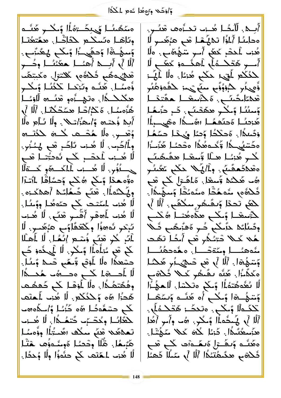وَاوَحُد وَرُوهُا مُوم الْكُلَا

مَنْعُسُلُ هُيْ الْمُتَوَلِّلُ الْمُسْتَمَاءِ مَنْ مَسْتَمَدَّ وِتَاهَـا مَسْكَــع كَدَاتْــا. مِمَّتْعُنْـا وَسَوُّةً وَحَقِّيءًا وَجَكَ لَمَعْنَى وَ ٱلْلا أَبِ أَسِــدَ أَهنُـــا حِكْنُنُــا وِحُـــوِ تْعَكِّيمُهُمْ وَهُدُّهُمْ كُمُّ مِثْمَتَّكُمْ مِثْمَتَّكَمْ ؤْهِمُا. هُنُـه وِنُزْنَـا خَكْنُـا وُحُــْب هڭىڭلا. ەنچىنُەو ھْسُە لُلۇسًا هُزُومُا. وَخَرَّاتُه مِمْتَكْتَا. أَلَّا لَ أَبِهِ وُحِيْدِهِ وَٱسْعَزَٰاتِيكِ وَلَا سُأَمِرَ هَلَا وُقْبٍ. هِلَّا هُنْسَمَهُ كُنْسُ لِكُنْسُو وِلَمُ اُحۡنِ ﴾. لَا هُــٰٓن نَاحَٰـٰٓ هَـٰى لِيَـٰـَٰٓءَنِ لًا هُــزب لمُحصَّـر كُــح تُوصُّرْـا هَــح حَصَاؤُمٍ. لَا هُـــزَمَ لْمَلْكَــةُو كَـــتَةَلَّا وَوُّوهِكَا وُحِكْمٍ وُكُمْ وَحِمَّاقًا لِمُتَبَالِ ويُحْثَماً!. هَنّ خَسْمَائِه أَههْدَه. لًا هُنِ الْمُنْد ۚ كُلِّ حَدُهُا ۚ وَقُسُلَ. لًا هُنِ ۖ أَهِقْدٍ أَقْسَدٍ قُنِّي. لَا هُـنِ نُبْدَرِ نُهووُا وِكْتَعَفَّاوُبِ ۚ هَبُعَْدِرِ. لَا لْمَعْ كُلِّ هْنِّي وُسْعِ إِنَّهَا. لَا لَمِّلْا كُمْ ثُمَّ مُنْمَاهُ أَمَّا وَمَكْنٍ. لَا أَيْجَدُهِ كُمَّ حشعدًا هلًا لَمُوْثَى وُّمَعًى شَــدْ وُسُـُلْ. لَا لَمَـــوْمَا كَــــوهُ هُـــدُا وِفُعٌتمُـٰہٗا ٖ. ہاٗا ۖ لَوٰقَـا ۖ لَاے ۖ حَٰفَـٰہَـٰ ۖ هُدُرُا هُو وَحَكُكُم. لَا هُنِ لَمَعْتَ كُم حِسْفُوصًا ۞ه حُزُمًا وَٱسْلَاهِ ۖ لحَعَّائُـا وِحُدَّجَى دَّتَكُـدًا. لَّا هُــ;ب تَعْجَمُحِينَ هُنَّى سَكُفَ اهُمَّةُ أَلْ وِؤْمِنْمَا هُرُحمًا. قُلًا وِحْدُ أوْمُحوُّد هَنْدًا لًا هُذِب لمُمْتَف كُمْ حِنُّوزًا وِلًا وُحْجُلَ.

أَبِــم. لَأَمْتُــا هُــ: تكـنُوها هْنُــو. هجامنًا أَلمَوُّا تَدْهُـُـهَـا هُـجِ مَّوْهُـبِ لَهُ هُذا أَحدٌ كَعَلِّ أَسو سَيُوهَٰبٍ. وَلَّا<br>أَسو هَتِيْدُهُلِّ أَهدُّ وَوْ كَعَبِي لَّا لمَنْكُم لَمَتِي مَكْمٍ هُنَا. وَلَا لَمِنَ : ؤْهِيدُمْ بِمِرْ وَنُمَّةٍ مِنْكُمْ بِهْدِهِ وَأَمِّرُوهُ وَمُكْرِدَةٍ قْلْمْتَاحُمْنَــــى وَالْمُتَسَمَّــا حَقَّنْدْــا وۡمِسۡنُا وُۡتَكُو مِمۡصۡنَى ۚ حُـرٖ حَنۡتُمَا هُزِدِيُبًا هُجِيَّهُمُ الشَّجَا وَهِي الْمُسَلَّاتِ وَثَىلِكُمْلِ. هُحِنْكُمْ وَمِثْلِ وَيُحْمَلِ حَمَّهُمْ وَحْتَنِيُكُمْ أَوْجُدِهُكُمْ وَدْئِكُمْ هَٰذَبُوْا لْحُمِ هُزْسًا هِـلًا وَّحْمَدًا هِفَىقَينَـمِ ەھْلاكْھقَىلّ. وٖڵْالْهَٰلا ھكْم مْعَنْسُر هُ مَكْتُمْ تَسْعْلَ. هَاهُتْلَ كُمْ شَى ثُلادُه مُدَهُدًا مِنْدَخُلًا وُمَكِمًاً. َكْتُمْ نَحْدًا وُبِقُبْقُسٍ مِكْفُمٍ. أَلَّا ﴾ لأسعدا وُلمح مدَّه مُصْل هُ كَب وتَسْلَمُه هَدَّمُكُم ضُو هُڪَّنصُم شَلَّا هُلا كَـلا تْـتِنْـلُا شَـ أَنتُـا تَـهُـت وَّسْمُهْا. أَلَّا أَبْ هُمْ شَمِّيْ أَبْرِ هَٰذَا ەڭگُىزًا. ھَنُە بِقَبْعُو كَبْلا قُلْاڤُو لًا تُغْمِعُتمُلًا وَّىكُمْ مِلْكَمَا. لَاحِهُـٰٓءَا وَسَوُلْ وَالْمَحْلَمِ أَوْ هَنَّكَ وَسَمْعًا } تِكْمَلَا وُحْكَى. هَدَهُمْ: هُقَحْمُلًا. ٱلْلَّ ﴾ لَمُحَدَّمَٰا وُمكْرٍ. ۞ وأمرِ ٱهُدا ھزَىععُنَىدًا. دَنِيَا كُنْ كَلا مَكْتَبَا. ەھَنُــە وَبَقَــوۡلَ ەَبـَقَــەٓآف كَلـَـع هَــع ثَلاهَم محْدَمُتّْنَدُا ٱلْلَّ لَى مَمْلًا كَعِنْا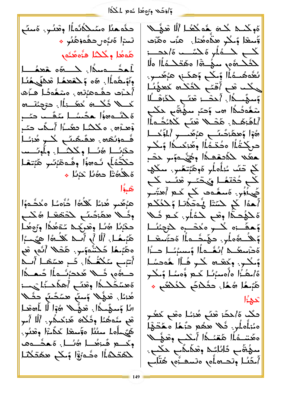وَاوَحُد وَوَهُا مُوم الْكُلَا

حذَّممُا ممُنكَانُهاْا وقتُـر. هُننَّى تىت<sub>ا</sub> ەُڭەرچىقەزى*مۇ پ* هُوهُا وِكُلْمًا فَزُوهُنُور وَأَوْسِقُمِيًا ۚ فَيَ هَدَهُ مَعْمَدُ الْعَمَلُ هَذَا لَهُمْ مِنْهُمْ الْمَعْلَمُونَ مِنْ أُحِبُّو حقُّومُ ُتَمِن وَسْعُوصًا فِيَوْهِ كَــــلا فَكُــــــف كُطّـــزمُال حوْجِئْنَـــــــو ەَكْتُەھۇُلْ ھَتَّىسُّىلْ مُمَكَّىب جَنْب وْهِــْرَهِ . هگَــْـُـا حَمَّــُّا أَـــِمَّـ حَـّـرِ ڤُےۏٮُھُ‰ ٖ. ھڪُنگَـــم کُـــرِ هُٰزئـــا حدْرُسُــا ھُسُــا وِكْــْسَــا. وِلَموسُـــب حكتُّهُلُم سُموءُا وِهُـمقَّبُنُــرِ هُبُتمْـا هَ الأَهُ نَا حَهُ لَا كَبُرُا ﴾ ۿ,ؤُا هَبُعُىبِ هُٰٓئِمًا ۚ كَلَّاهُۚا حُنُّوَىٰا ۚ وَكُحُّوَٰۗ إِ وئَــلا ممَٰزِئَـنَــم لِكَـقَمْـا 2.6 مِنْــم حكْبُلُا هُنُـل وِهْرِجُـهْ عُـٰقَهُمْلُ وَرُوهُـل هَبْسُمْا. أَلَّا لَهٖ أَسم لَكُـهُا هِيُـبُّ! ەھَبْعُا كَحْشُەرِّىر. ھَڪْلا آئەر ھُر ٱتٸِے مَكْشُـٰدًا. كَــرِ همّشا ٱبــدَ حَــْدُهِ ثَــْلاَ هُدَدُرْتُــْمَاْ كَـْمَــْدَا هَهِمَكُكُمُا وِهْبُ أَهِكُكُمْ يُصِمَ هُزءُا ٖ. شَوْلًا وَمِنَّعٍ هَنَّـضَـَّعَ حَشَـٰلًا ائا وۡممُمۡمَاٗاً. مَوۡكُم اللَّهُ إِلَّا ۖ لَهُ مَعۡلَمُ لَهُ مَعۡلَمُ هْمِ مُدْهُمُا وِثْكُلُّهُ هَٰٓئُكُمُونَ ٱلْلَّ أُمِرِ هَيُعاْها معلَّا وَقُمِعْا كَذَّبَّا وِقْعُرٍ. وكمو فَعرْهُما رَهُمْسَا. هُمْهُمو لمَعْتَـٰهَـٰلُا مَشَـٰوُرْٓا وُلِّکُمْ مَعَّتَـٰكُنَّـا

هْ جِكْــِـمْ كُــْ مَهْ هُـمَـكْحُـا ٱلْلَّـ شَـهُـِــلا وَّسِعْلَ وَمِكْرٍ مِنْهُومُنَا. مَّت وَهَّتِ لكسم لمستكأبو ةلمثسسه ةالمحسنة لِمُكَـٰدُهُم سِمُ رَةًا مِفْتَـٰدُهُ الْمُ ىُقُومُىــەُ) بُىكى بُھكَــٰزى ھرُهُـــــو. لحُمَّة مَكَنَّة لَمَّة مَعْلَمَة الْمَسْمَّلِيَّة مِنْ مَسْمَّلِ وَسَهَّسَــدًا. أَحتَـــز هَنّــع للْكَرْفَـــلَّا شَفَّەضُدًّا هَبَّ وَّحَبَّ سَؤْقَهُمْ بِذَكْبِ ٱلمَفْزِهُـدِ. هُـْـدْ هُنّـع كَلائِشُـماُ! هُوْا وُهِمُرْشُدًى مُرْهَبٍ وَالْمُكُلِّمَانَ حركةُمُّا هحُدَّمُاْ وِهَٰنِكْسُلَا وَسُكْر معَكِد للْمُصْهَدُمُ وهُيُّدُوْسِ حصْبِ ﻜﻰ ﺗﯩ*ﯩ*ﻪ ﻣُ;ﻠُّﻪﻟُﺮ ﻩُﻭﮬَّ;ﺗ**ﻤ**ﯩﺮ. ﻣﯩﯖﯜ كُم دُقتهُا فَيَحْسُرِ هُنَّبٍ كُمْ كَهَاأُو. ةَسْقَدْتِ كُلِّ كُنْعْ أَهْتُسُو أَهدًا كَجِ حَمَّتْنَا هُءَدَّدُنَا وَحَدُّكُم هَكُهُدَمَّا وَهْمِ كَمُلُو. كُـمْ ثَـكَّا وَهِقَاهِ كُلّْسٍ مَكْشَبِهِ كَتَرْمَتُنْا وَجِّلاً وَهُولُو. حَوَّمْثُ ولَمَّا وَحَتَّمِعْهَا هُدْمِعِكُــدَ إِلـُـمْــداًا وُسِيئِيْــا حــزًا وَْكُبْ وِكْعْدُهِ كُبْرِ قُـأَا هُوَجِسًا. ةُامكُنَّا هاڤمبرُنَـا كَــُع وُّهمُــا وُمكُــر هَّبُعُلُ هُعُلَ. حَثَكَلاَكُم لَحُكْفَكُم \* تحجئزا دَكْد هُ/دَهَٰ: هُنَّے هُـٰ:ئـا هِ هُـٰ كَـٰفُــر ەئزلەلمى. ئىلا ھىھى دۇھا ەھقىۋا هَمَّتَــفُلًا هَمَّـٰـدًا أَكْب وِهْؤُــلا سۇقُے دَّائائِہ وقدَمدَّے حکّے۔ أَمكُنُـا وِتَـدِّها وَصَـدُّورٍ هُتَّاب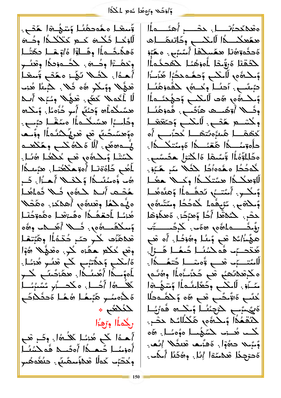وَٱوْحُلا وَرُوهُا مُومِ الْمَكْلَا

وَّسِعْدا مِمُوحِمُنَا وَسَيُّوَا هَتَبِي. لَّاوْكُمْ شَكْدَهُ كُمْدِ كَتْݣُلّْهَا وِحُدْهَ هُهِمُّـثُـه اُلْمِ وَصَّـاةٌا هُاوِّهْــا حَقَتُــا وِبْحِكُــٰٓ;ا وِكُــٰ ۞ . حَكُــٰـٰءوَحَدًا وِمْحَـٰـٰبِ أَهْدًا. لِكُلُّلا نَهُـ: مِمْثَمِ وَّمِشَا تَعيثُما وَوَّىكُمْ ۞ه قُلاً . كَيْمِنُا هُذِ لًا لَمُدَهَلا كَعَلَم. شَوْيَلا وُجُرِيد أَسِمْ هسَّىكُمْلُمْ وَمِنْعُ أُمِرٍ دُّوْمَاً. وَمَكْلُهُ ودًاسرًا هِمَّىْ أَمَا أَمِنْهُما حَبْبٍ. ەۆھسّىگىبُ ھَى ھُوئُےكْسُّەلَّا وِؤْسَمَا قُدەھُمْ. أَلَّا هَكْهُكْمْ وِهَكْلِهِ ه لْمَسْْلَمْ وُحْدُهُ مِنْ وَحَقَّلَ هُنَا. لَمُعَى حَاهُۃتا أُەوٓھىلاھُتا. ھڔٞٸﯩﺪُا هُمَا ؤُهِمُنُنَّمُ أَوْ لِكَنَّمَا أَهْدُلَ فَ هُتَـْعَبِ أَبِـدْ لِدَةُهِ, ثُـلا ثُمامُـا ه هُم لهُمَّا وهُدهُ مِ أَهلكَزِ. هَمَّصْلا هُزئـًا لِمُعَهُــدُّا مِقَــٰزِهَــا مِمُّمِرَّحُـلَـا وَسكْفَسِيهُمْ. ثَسْلاً أَهَسْكُ وَهُمْ هْدْهَاو كُلّْرِ حَبّْ خُدّْمُلًا وِهَبْتُهْا وِهْمِ يُمَكِّمِ هِقَةِهِ لَكُنٍ وَهُؤُلاً وَهُوَا ةِ/مْكَى وَمِكْتَبْسٍ كُلِّ هَنُـو هُـْنَـا. لَمَوْسَــدًا أَهُـنُــدًا. مفَنحُنبَ لَمْــر كْلُّــْ هُٰا أُحُـــا. مكْحـــزُو مُّمَّرُـُــا ەَلأەسُــر ھَبُـھُـا ھُـھُـا ەَحثَـٰدَاخَــم لمُلْعُبِ \* وبكمأا وزجزا أُحْدُا كُم هُنْا كُلُّهُ!. وِكَهِ هُم أُهومُا ضُعِيدًا أَهتُمِي هُوجَمْنُا وِكْتّْبُكْمَالْ هْدْفُسْقَىلٌ . حَلُقُوهُس

ەقىمكدىُ ئىسل دېسىم أەگىسە همّعكـــدُا لَاحْــــــ وكاتىعَــــاه ەُحثُەرْ«ەُلْل ھەسلاھْلْلْمُنْبُس مەمَّرُو لأَمَقَنْا هُ رَوُّىثَا لِمُوهُمُا لِكَٰعُحِنُـٰهِ الْأَ وَّىكِنَّەن لَّاعْكَبِ وَجَعَّـوَجُدَّا مَّتَنَــُّا دَّىسًى فَصَلَّا وِحُسْمًا كَشَّاوَهُمْ الْمَسَلَّامَ وُكِنُوهِ وَهُدَ ٱلْكُنُبِ وَحَوُكِنُـمَاْ! وِثَّـــلا أُوْهُــــعا هزُكُـــو . فُـاوَهُنُــا وكشع هُتَبِ. لَا كُبُ وَحَقَقَهَا كَتَفَقَّــا مُّىبُونُتَّتَّــا كُحَنَّـــو أَه دأەقىئىسكا ھۆئىسكا ۆومئتڭگا. ەكْللوَّەْلُا وَّسُمْل ەْلگتۇل ھىمَسَى. كُودُدًا وهُوواُدًا لِحَثَلا سَرِ هُـزَوِ. لَّاوْهِكُمَّا هِمَّتْكُمَّا وِكُمْ حَقُال وَّىكْــر. أَمَّتْــبُ نُحفُــملُّا وَحشَّفْــا وُمكْشَى. مُرُجِفُما كُمْحُطُ وِمَتَنُبِشُمْ ححْرِ. ۖ حَكِمْتُمَا أُحَا وَمَرَحَدٍ. هَمحُوْهَا هِهَٰۃُۢآٰیٰٗہٗ شَبِ وَۡسُلَّہٖ وَہُوۡصَٰلَ ٰ آَہٖ شَبِ هُدۡدـــٰٓبۡ ۖ فَـُمۡـٰـُـٰل حُـمُــٰل فَـــرَٰلِ. لَامْتَــــرَٰٮ قَــــح وُّدَـــــــــل كُتمُــــدُّالَ. مكْبِقْدْتُهْمْ هُم خُذّْجَةُمْلًا وِهُنَّم مَّــزَو ۚ. لَاعْكَبِ ۖ وَكَعَّامِنُـمَاْ! وَمَنهُـــْهَ! مُنَّبِ ةَاوَّمَضَـٰٓ هَبِ اهَ ۚ وَلِكِشَـٰهِ صَلَّا ەڭخىش ھۆجئىل ۋىگى ھۇئىل لأنقفُمُا وُلِكِوهُ وَكَذُلِكُمْ حَضَّرٍ. كُمْسٍ هُــزَبٍ لِمُنْهُمِــا وَوُوسُـا. وَهُو وَّسَرَىلا حَقُوْلَ. ةَفَنَّىمَا شَعْفُلا إِنَّمَا. هَحرْجِدًا هَٰهِمَمْهَا إِبْلَ. وِهُكُنُا ٱمْكَت.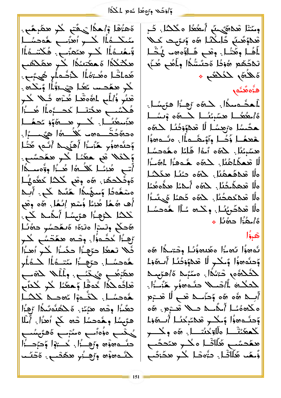وَّاوْخُلا وَرُوهُا شُوم الْكُلُّا

هُهَّتُوْا وْ/همْا يَــِفَّتِي لَمْــهِ هَتَمِينَ . مَنْتَدْ ءُلَّا گُبْ رُهْنُب هُوصُبَا وَّْمُسَـّٰهُ أَا ۖ لَكَــرٍ مِنَعَزَىــ ۚ فَكُنْسَـٰهُ أَا هكْتْݣْدَا هْحَقّْتِيْدُا كْبِر هِمْحْقَى هَٰداَخَا ەھُـۃەُاُ لِأَدُّداٰمِ ھُجْبَءِ. لْكُو هَمُصْتَ عَمَّا حَيْ أَقَّالَ وَّكْنَهُ . قْنُرِ وُّالَمْعِ ءُهُوَقْتَا هُـنْزَه شُـلا كُـْرِ فُحْسَبَ محدَّثتَـا كَحَــرُّه أَا مُـــزًا هزَمعكُنْا. كُلْسِ هِلْمُؤَوْضَهُمْا ەدەڭخشىمە سىڭ ئەلھىمىدا. وَحِنُهِ وَأَوْ مِنْ أَحْنَى الْمَعْنِ وَاللَّهَ وَاللَّهَ وَاللَّهَ مِنْ اللَّهَ وَاللَّهَ وَاللَّ وَلِحْدَلا مْعِ حَقَيْا لَهُ مِحْصَنَى ۚ. أَتبِ هُذِئًا لَمَدْهُ هُـٰٓ; وَقُومِـٰهُ! هُوِثُلاحقًا: «هُو وِشْمِ گَلْمُا كَعْدُوبُـا ەسْھُەدُا بِّسمُسْلًا ھَنُدْ كَلِ. أَبِـد أُهِ وَأَهْلَ هُٰذِيًا ذُبِّيْعِ إِنَّهَا. وَهُمْ وَقْع تَكْتُلُمْ حَرَّدٍ أَوْ مَرْسَلَ أَمَدُكُمْ كُلِي. الأحكِّ وتَسْرًا هَازَهُ! هُلصَّحْسُو حَاهُنُـا رَْهِـزَاً كَثَّـدَوُّا. وِتْــه هِمَّتْـسُـ كُــر ثَلا تَعْمَا حَرْجَةُ! حَمَّةُ! كُبِرٍ ٱمْتُوَّا هُوحِسُــا. حرِّهِـــزًا مِنْتَـــوُــأَا حَـــوُـلُر مِعْتَبِيَّةٍ وَسَمَّدَةٍ مِنْقَرْهِ مِنْ مَثْبَعْتُهُمْ مِنْ مَثْبَعْتُهُمْ مِنْ مَثْبَعْتُهُمْ مِ هَائُه كِلَّا ۖ كَوَقَّا ۖ وَحَقَدًا ۖ كُنْ كُفَّاتٍ حُوصيًا. حَتَّوَةُ مُوصِّد تَحْصَل حَعَّمُوْا وِحْمَ هَبِّتْ هَ حَجَّفَتُهُا رَجُوا دْرُبِمُا وِهُوصِمًا دُهِ ۚ كُمْ أَهْزًا. أَمَلَا يحشرنه فاستهده وسأدفأه وسنكرش حنٌـدهوْه ورُهِــزُا. كُـــزوا وُحرَّحــزًا للَّـــه وقَوْمَ وَرُوْتُ مِنْ مِنْ مَشْتَـبٍ ﴾ وَحَبَّــت

وِمَتْنَا هُدَاهَ ُمِنْ أَمْعُعُدَا هِ كَلَّكْمَا. كَبِ هْدَهُمْنَى خُالِكْنَا هُو وُنَهْت كَــلا لَمُط وِهَٰتُا. وِهْبِ هُـاؤُهِ هَـ لِيُشْـا تَدَكِّعُم هُوَدًا هَحِنَّىتُمُا وِلَمُي هُــَىٰ ەللە» لىكلۇم . ڡڒؙۛەۿؙۮٞڡ لْمَحْـومِمَالِ حَـوَةِ وَجِـزًا هِرَّمِمُــالِ ةُاعْتَقْدًا هِمْبِئْسًا كَنْ وَسَمَّا هجَّىسًا ‰هِسًا لَّا شَكَوِّوْتُنَا كَ‰َه هْعِهُــا وُّحُــا وأَوُّحِفُــواً! . ونُــوووُا هِمُبِيُّلُ فِي اللهُ وَالِمَّا وَالْمَالِمُ وَالْمُوَاحِمَةِ لًا مْعِظْلِمْنَا. حَتَى عُدِدَا لِمَنْ أَ ەلْل ھْھۇھممْىُل. خۇرە جى*ئىل ھ*ككىل ەلْل مْعمكْمِحُىْل. حْتَى مْ كَمْعْل مِجْهِمْعْلا الْمَسْرِهْ لَمْعَهْ مِهْمُ . لِمُعْمَلَ هُمَا أَم ەلْل ھْھكْرېُنْـل. وڭدە سْأَل ھُەجسُـل ةُامطُرًا حدُّلًا \* ۿڔۏؙٳ بُهودُا بُوءُا وهُدودُبُّا وِحْتِيجًا وَه وَحِدُّهُ وَوَٰا وَمِكْنِ لَٰا هُمْؤَوْضُلًا أَسْتَوْمًا لْمُكْلُوهُ و حْتِنْكُمْلْ. ومَنْبُكُمْ وَاحْتِهِكُمْ لحفكرة لمُاصْلا حنَّدهؤُو هُزُنُوْلَ. أُبِيهِ هُهِ هُهِ وَجَنُبِيهِ شَبِي لَا شَبْطٍ ه كَلاههُمْا أَحَدُّكُمْ هَــْلا هُــْبَعْ. هُه

وُحسُّـه%اُ وُحكْــرٍ هُكْتَرِكْتُـا أُسـرَهُوْـا

كْمِعْنْتْسَا ەلَّاوْحُنْتَسَا. ھَە وڭسىر

همّحسٌبِ هَٰلَاتْـا ه كُــرِ هنّحكُـبُ

ؤَمِّمَا هَٰلَاٰتَـٰا. دَّرْہِتَـا کُـٰرِ مِدَٰٓرَتَٰب